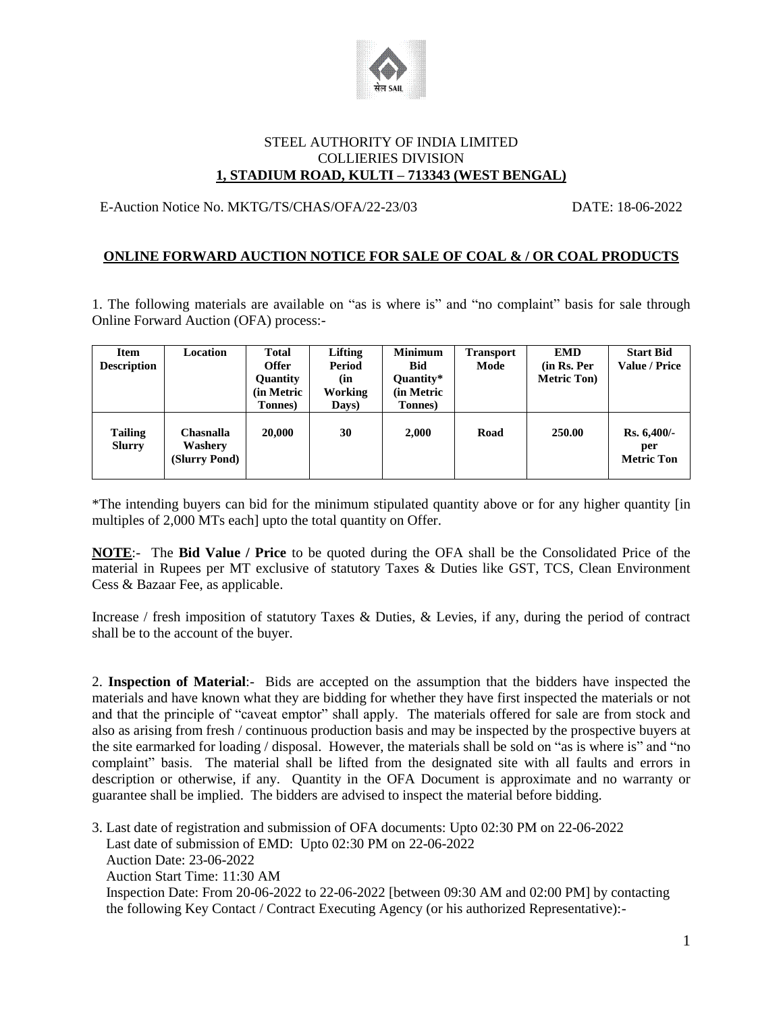

#### STEEL AUTHORITY OF INDIA LIMITED COLLIERIES DIVISION **1, STADIUM ROAD, KULTI – 713343 (WEST BENGAL)**

## E-Auction Notice No. MKTG/TS/CHAS/OFA/22-23/03 DATE: 18-06-2022

## **ONLINE FORWARD AUCTION NOTICE FOR SALE OF COAL & / OR COAL PRODUCTS**

1. The following materials are available on "as is where is" and "no complaint" basis for sale through Online Forward Auction (OFA) process:-

| <b>Item</b><br><b>Description</b> | Location                                     | <b>Total</b><br><b>Offer</b><br>Quantity<br>(in Metric<br>Tonnes) | <b>Lifting</b><br>Period<br>(in<br>Working<br>Days) | <b>Minimum</b><br><b>Bid</b><br>Quantity*<br>(in Metric<br>Tonnes) | <b>Transport</b><br>Mode | <b>EMD</b><br>(in Rs. Per<br><b>Metric Ton</b> ) | <b>Start Bid</b><br><b>Value / Price</b>   |
|-----------------------------------|----------------------------------------------|-------------------------------------------------------------------|-----------------------------------------------------|--------------------------------------------------------------------|--------------------------|--------------------------------------------------|--------------------------------------------|
| <b>Tailing</b><br><b>Slurry</b>   | <b>Chasnalla</b><br>Washery<br>(Slurry Pond) | 20,000                                                            | 30                                                  | 2,000                                                              | Road                     | 250.00                                           | $Rs. 6,400/$ -<br>per<br><b>Metric Ton</b> |

\*The intending buyers can bid for the minimum stipulated quantity above or for any higher quantity [in multiples of 2,000 MTs each] upto the total quantity on Offer.

**NOTE**:- The **Bid Value / Price** to be quoted during the OFA shall be the Consolidated Price of the material in Rupees per MT exclusive of statutory Taxes & Duties like GST, TCS, Clean Environment Cess & Bazaar Fee, as applicable.

Increase / fresh imposition of statutory Taxes & Duties, & Levies, if any, during the period of contract shall be to the account of the buyer.

2. **Inspection of Material**:- Bids are accepted on the assumption that the bidders have inspected the materials and have known what they are bidding for whether they have first inspected the materials or not and that the principle of "caveat emptor" shall apply. The materials offered for sale are from stock and also as arising from fresh / continuous production basis and may be inspected by the prospective buyers at the site earmarked for loading / disposal. However, the materials shall be sold on "as is where is" and "no complaint" basis. The material shall be lifted from the designated site with all faults and errors in description or otherwise, if any. Quantity in the OFA Document is approximate and no warranty or guarantee shall be implied. The bidders are advised to inspect the material before bidding.

3. Last date of registration and submission of OFA documents: Upto 02:30 PM on 22-06-2022 Last date of submission of EMD: Upto 02:30 PM on 22-06-2022 Auction Date: 23-06-2022 Auction Start Time: 11:30 AM Inspection Date: From 20-06-2022 to 22-06-2022 [between 09:30 AM and 02:00 PM] by contacting the following Key Contact / Contract Executing Agency (or his authorized Representative):-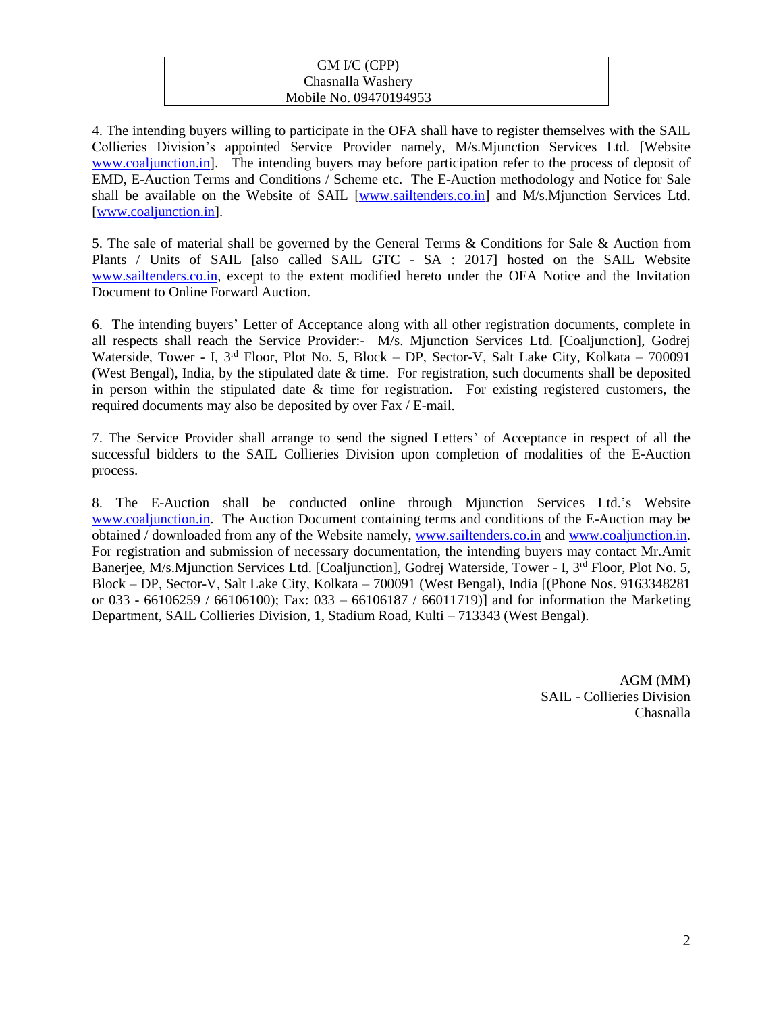#### GM I/C (CPP) Chasnalla Washery Mobile No. 09470194953

4. The intending buyers willing to participate in the OFA shall have to register themselves with the SAIL Collieries Division's appointed Service Provider namely, M/s.Mjunction Services Ltd. [Website [www.coaljunction.in\]](http://www.coaljunction.in/). The intending buyers may before participation refer to the process of deposit of EMD, E-Auction Terms and Conditions / Scheme etc. The E-Auction methodology and Notice for Sale shall be available on the Website of SAIL [\[www.sailtenders.co.in\]](http://www.sailtenders.co.in/) and M/s.Mjunction Services Ltd. [\[www.coaljunction.in\]](http://www.coaljunction.in/).

5. The sale of material shall be governed by the General Terms & Conditions for Sale & Auction from Plants / Units of SAIL [also called SAIL GTC - SA : 2017] hosted on the SAIL Website [www.sailtenders.co.in,](http://www.sailtenders.co.in/) except to the extent modified hereto under the OFA Notice and the Invitation Document to Online Forward Auction.

6. The intending buyers' Letter of Acceptance along with all other registration documents, complete in all respects shall reach the Service Provider:- M/s. Mjunction Services Ltd. [Coaljunction], Godrej Waterside, Tower - I, 3<sup>rd</sup> Floor, Plot No. 5, Block – DP, Sector-V, Salt Lake City, Kolkata – 700091 (West Bengal), India, by the stipulated date & time. For registration, such documents shall be deposited in person within the stipulated date  $\&$  time for registration. For existing registered customers, the required documents may also be deposited by over Fax / E-mail.

7. The Service Provider shall arrange to send the signed Letters' of Acceptance in respect of all the successful bidders to the SAIL Collieries Division upon completion of modalities of the E-Auction process.

8. The E-Auction shall be conducted online through Mjunction Services Ltd.'s Website [www.coaljunction.in.](http://www.coaljunction.in/) The Auction Document containing terms and conditions of the E-Auction may be obtained / downloaded from any of the Website namely, [www.sailtenders.co.in](http://www.sailtenders.co.in/) and [www.coaljunction.in.](http://www.coaljunction.in/) For registration and submission of necessary documentation, the intending buyers may contact Mr.Amit Banerjee, M/s. Mjunction Services Ltd. [Coaljunction], Godrej Waterside, Tower - I, 3<sup>rd</sup> Floor, Plot No. 5, Block – DP, Sector-V, Salt Lake City, Kolkata – 700091 (West Bengal), India [(Phone Nos. 9163348281 or 033 - 66106259 / 66106100); Fax: 033 – 66106187 / 66011719)] and for information the Marketing Department, SAIL Collieries Division, 1, Stadium Road, Kulti – 713343 (West Bengal).

> AGM (MM) SAIL - Collieries Division Chasnalla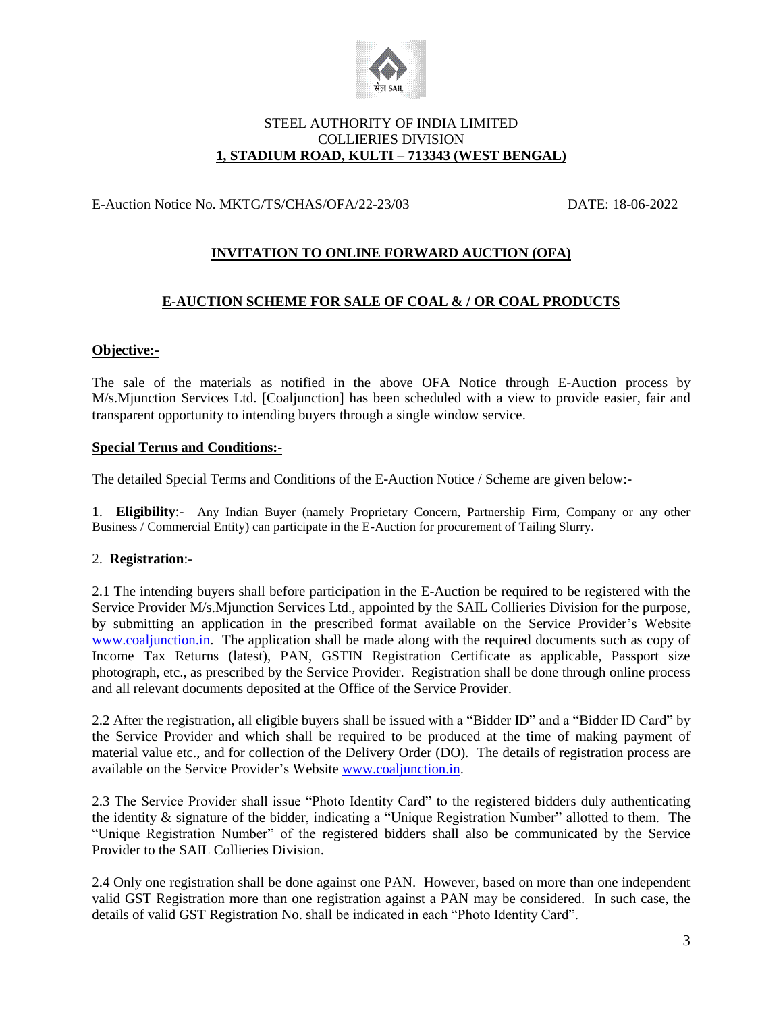

## STEEL AUTHORITY OF INDIA LIMITED COLLIERIES DIVISION **1, STADIUM ROAD, KULTI – 713343 (WEST BENGAL)**

## E-Auction Notice No. MKTG/TS/CHAS/OFA/22-23/03 DATE: 18-06-2022

# **INVITATION TO ONLINE FORWARD AUCTION (OFA)**

#### **E-AUCTION SCHEME FOR SALE OF COAL & / OR COAL PRODUCTS**

#### **Objective:-**

The sale of the materials as notified in the above OFA Notice through E-Auction process by M/s.Mjunction Services Ltd. [Coaljunction] has been scheduled with a view to provide easier, fair and transparent opportunity to intending buyers through a single window service.

#### **Special Terms and Conditions:-**

The detailed Special Terms and Conditions of the E-Auction Notice / Scheme are given below:-

1. **Eligibility**:- Any Indian Buyer (namely Proprietary Concern, Partnership Firm, Company or any other Business / Commercial Entity) can participate in the E-Auction for procurement of Tailing Slurry.

#### 2. **Registration**:-

2.1 The intending buyers shall before participation in the E-Auction be required to be registered with the Service Provider M/s.Mjunction Services Ltd., appointed by the SAIL Collieries Division for the purpose, by submitting an application in the prescribed format available on the Service Provider's Website [www.coaljunction.in.](http://www.coaljunction.in/) The application shall be made along with the required documents such as copy of Income Tax Returns (latest), PAN, GSTIN Registration Certificate as applicable, Passport size photograph, etc., as prescribed by the Service Provider. Registration shall be done through online process and all relevant documents deposited at the Office of the Service Provider.

2.2 After the registration, all eligible buyers shall be issued with a "Bidder ID" and a "Bidder ID Card" by the Service Provider and which shall be required to be produced at the time of making payment of material value etc., and for collection of the Delivery Order (DO). The details of registration process are available on the Service Provider's Website [www.coaljunction.in.](http://www.coaljunction.in/)

2.3 The Service Provider shall issue "Photo Identity Card" to the registered bidders duly authenticating the identity & signature of the bidder, indicating a "Unique Registration Number" allotted to them. The "Unique Registration Number" of the registered bidders shall also be communicated by the Service Provider to the SAIL Collieries Division.

2.4 Only one registration shall be done against one PAN. However, based on more than one independent valid GST Registration more than one registration against a PAN may be considered. In such case, the details of valid GST Registration No. shall be indicated in each "Photo Identity Card".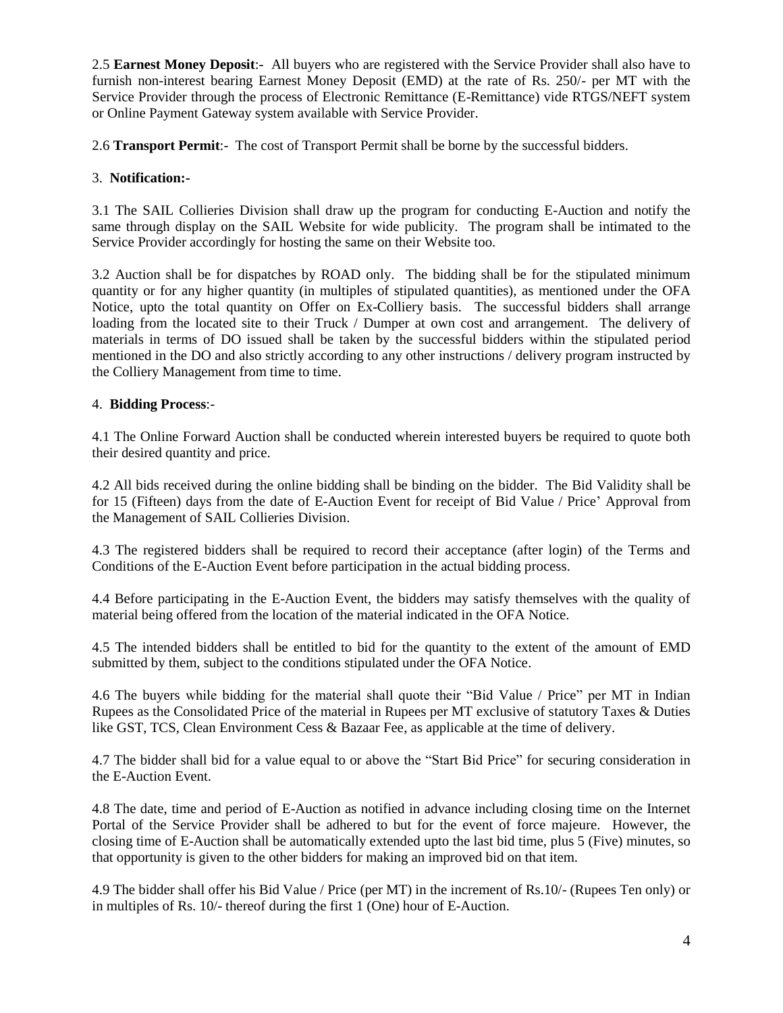2.5 **Earnest Money Deposit**:- All buyers who are registered with the Service Provider shall also have to furnish non-interest bearing Earnest Money Deposit (EMD) at the rate of Rs. 250/- per MT with the Service Provider through the process of Electronic Remittance (E-Remittance) vide RTGS/NEFT system or Online Payment Gateway system available with Service Provider.

2.6 **Transport Permit**:- The cost of Transport Permit shall be borne by the successful bidders.

## 3. **Notification:-**

3.1 The SAIL Collieries Division shall draw up the program for conducting E-Auction and notify the same through display on the SAIL Website for wide publicity. The program shall be intimated to the Service Provider accordingly for hosting the same on their Website too.

3.2 Auction shall be for dispatches by ROAD only. The bidding shall be for the stipulated minimum quantity or for any higher quantity (in multiples of stipulated quantities), as mentioned under the OFA Notice, upto the total quantity on Offer on Ex-Colliery basis. The successful bidders shall arrange loading from the located site to their Truck / Dumper at own cost and arrangement. The delivery of materials in terms of DO issued shall be taken by the successful bidders within the stipulated period mentioned in the DO and also strictly according to any other instructions / delivery program instructed by the Colliery Management from time to time.

## 4. **Bidding Process**:-

4.1 The Online Forward Auction shall be conducted wherein interested buyers be required to quote both their desired quantity and price.

4.2 All bids received during the online bidding shall be binding on the bidder. The Bid Validity shall be for 15 (Fifteen) days from the date of E-Auction Event for receipt of Bid Value / Price' Approval from the Management of SAIL Collieries Division.

4.3 The registered bidders shall be required to record their acceptance (after login) of the Terms and Conditions of the E-Auction Event before participation in the actual bidding process.

4.4 Before participating in the E-Auction Event, the bidders may satisfy themselves with the quality of material being offered from the location of the material indicated in the OFA Notice.

4.5 The intended bidders shall be entitled to bid for the quantity to the extent of the amount of EMD submitted by them, subject to the conditions stipulated under the OFA Notice.

4.6 The buyers while bidding for the material shall quote their "Bid Value / Price" per MT in Indian Rupees as the Consolidated Price of the material in Rupees per MT exclusive of statutory Taxes & Duties like GST, TCS, Clean Environment Cess & Bazaar Fee, as applicable at the time of delivery.

4.7 The bidder shall bid for a value equal to or above the "Start Bid Price" for securing consideration in the E-Auction Event.

4.8 The date, time and period of E-Auction as notified in advance including closing time on the Internet Portal of the Service Provider shall be adhered to but for the event of force majeure. However, the closing time of E-Auction shall be automatically extended upto the last bid time, plus 5 (Five) minutes, so that opportunity is given to the other bidders for making an improved bid on that item.

4.9 The bidder shall offer his Bid Value / Price (per MT) in the increment of Rs.10/- (Rupees Ten only) or in multiples of Rs. 10/- thereof during the first 1 (One) hour of E-Auction.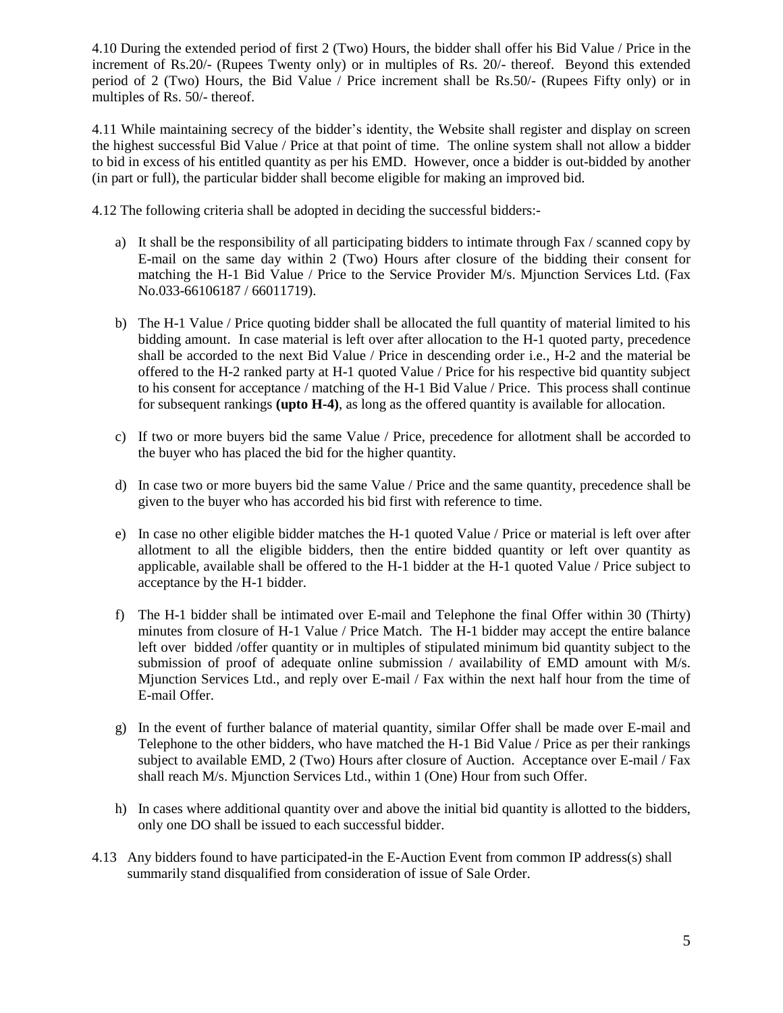4.10 During the extended period of first 2 (Two) Hours, the bidder shall offer his Bid Value / Price in the increment of Rs.20/- (Rupees Twenty only) or in multiples of Rs. 20/- thereof. Beyond this extended period of 2 (Two) Hours, the Bid Value / Price increment shall be Rs.50/- (Rupees Fifty only) or in multiples of Rs. 50/- thereof.

4.11 While maintaining secrecy of the bidder's identity, the Website shall register and display on screen the highest successful Bid Value / Price at that point of time. The online system shall not allow a bidder to bid in excess of his entitled quantity as per his EMD. However, once a bidder is out-bidded by another (in part or full), the particular bidder shall become eligible for making an improved bid.

4.12 The following criteria shall be adopted in deciding the successful bidders:-

- a) It shall be the responsibility of all participating bidders to intimate through Fax / scanned copy by E-mail on the same day within 2 (Two) Hours after closure of the bidding their consent for matching the H-1 Bid Value / Price to the Service Provider M/s. Mjunction Services Ltd. (Fax No.033-66106187 / 66011719).
- b) The H-1 Value / Price quoting bidder shall be allocated the full quantity of material limited to his bidding amount. In case material is left over after allocation to the H-1 quoted party, precedence shall be accorded to the next Bid Value / Price in descending order i.e., H-2 and the material be offered to the H-2 ranked party at H-1 quoted Value / Price for his respective bid quantity subject to his consent for acceptance / matching of the H-1 Bid Value / Price. This process shall continue for subsequent rankings **(upto H-4)**, as long as the offered quantity is available for allocation.
- c) If two or more buyers bid the same Value / Price, precedence for allotment shall be accorded to the buyer who has placed the bid for the higher quantity.
- d) In case two or more buyers bid the same Value / Price and the same quantity, precedence shall be given to the buyer who has accorded his bid first with reference to time.
- e) In case no other eligible bidder matches the H-1 quoted Value / Price or material is left over after allotment to all the eligible bidders, then the entire bidded quantity or left over quantity as applicable, available shall be offered to the H-1 bidder at the H-1 quoted Value / Price subject to acceptance by the H-1 bidder.
- f) The H-1 bidder shall be intimated over E-mail and Telephone the final Offer within 30 (Thirty) minutes from closure of H-1 Value / Price Match. The H-1 bidder may accept the entire balance left over bidded /offer quantity or in multiples of stipulated minimum bid quantity subject to the submission of proof of adequate online submission / availability of EMD amount with  $M/s$ . Mjunction Services Ltd., and reply over E-mail / Fax within the next half hour from the time of E-mail Offer.
- g) In the event of further balance of material quantity, similar Offer shall be made over E-mail and Telephone to the other bidders, who have matched the H-1 Bid Value / Price as per their rankings subject to available EMD, 2 (Two) Hours after closure of Auction. Acceptance over E-mail / Fax shall reach M/s. Mjunction Services Ltd., within 1 (One) Hour from such Offer.
- h) In cases where additional quantity over and above the initial bid quantity is allotted to the bidders, only one DO shall be issued to each successful bidder.
- 4.13 Any bidders found to have participated-in the E-Auction Event from common IP address(s) shall summarily stand disqualified from consideration of issue of Sale Order.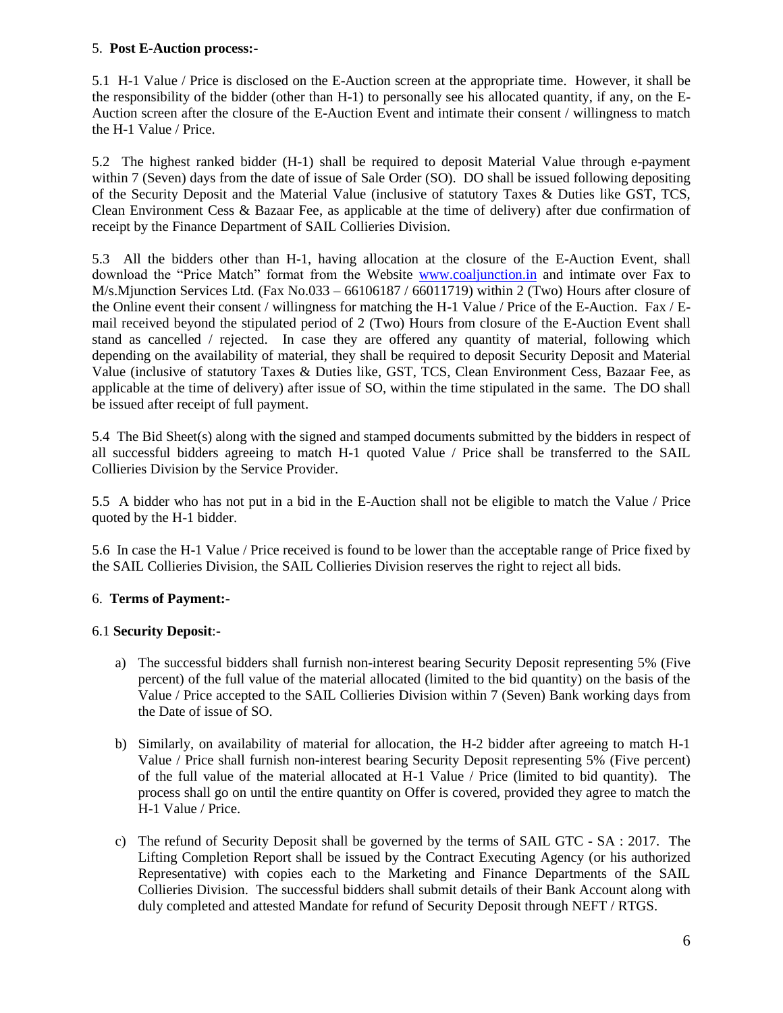#### 5. **Post E-Auction process:-**

5.1 H-1 Value / Price is disclosed on the E-Auction screen at the appropriate time. However, it shall be the responsibility of the bidder (other than H-1) to personally see his allocated quantity, if any, on the E-Auction screen after the closure of the E-Auction Event and intimate their consent / willingness to match the H-1 Value / Price.

5.2 The highest ranked bidder (H-1) shall be required to deposit Material Value through e-payment within 7 (Seven) days from the date of issue of Sale Order (SO). DO shall be issued following depositing of the Security Deposit and the Material Value (inclusive of statutory Taxes & Duties like GST, TCS, Clean Environment Cess & Bazaar Fee, as applicable at the time of delivery) after due confirmation of receipt by the Finance Department of SAIL Collieries Division.

5.3 All the bidders other than H-1, having allocation at the closure of the E-Auction Event, shall download the "Price Match" format from the Website [www.coaljunction.in](http://www.coaljunction.in/) and intimate over Fax to M/s.Mjunction Services Ltd. (Fax No.033 – 66106187 / 66011719) within 2 (Two) Hours after closure of the Online event their consent / willingness for matching the H-1 Value / Price of the E-Auction. Fax / Email received beyond the stipulated period of 2 (Two) Hours from closure of the E-Auction Event shall stand as cancelled / rejected. In case they are offered any quantity of material, following which depending on the availability of material, they shall be required to deposit Security Deposit and Material Value (inclusive of statutory Taxes & Duties like, GST, TCS, Clean Environment Cess, Bazaar Fee, as applicable at the time of delivery) after issue of SO, within the time stipulated in the same. The DO shall be issued after receipt of full payment.

5.4 The Bid Sheet(s) along with the signed and stamped documents submitted by the bidders in respect of all successful bidders agreeing to match H-1 quoted Value / Price shall be transferred to the SAIL Collieries Division by the Service Provider.

5.5 A bidder who has not put in a bid in the E-Auction shall not be eligible to match the Value / Price quoted by the H-1 bidder.

5.6 In case the H-1 Value / Price received is found to be lower than the acceptable range of Price fixed by the SAIL Collieries Division, the SAIL Collieries Division reserves the right to reject all bids.

# 6. **Terms of Payment:-**

# 6.1 **Security Deposit**:-

- a) The successful bidders shall furnish non-interest bearing Security Deposit representing 5% (Five percent) of the full value of the material allocated (limited to the bid quantity) on the basis of the Value / Price accepted to the SAIL Collieries Division within 7 (Seven) Bank working days from the Date of issue of SO.
- b) Similarly, on availability of material for allocation, the H-2 bidder after agreeing to match H-1 Value / Price shall furnish non-interest bearing Security Deposit representing 5% (Five percent) of the full value of the material allocated at H-1 Value / Price (limited to bid quantity). The process shall go on until the entire quantity on Offer is covered, provided they agree to match the H-1 Value / Price.
- c) The refund of Security Deposit shall be governed by the terms of SAIL GTC SA : 2017. The Lifting Completion Report shall be issued by the Contract Executing Agency (or his authorized Representative) with copies each to the Marketing and Finance Departments of the SAIL Collieries Division. The successful bidders shall submit details of their Bank Account along with duly completed and attested Mandate for refund of Security Deposit through NEFT / RTGS.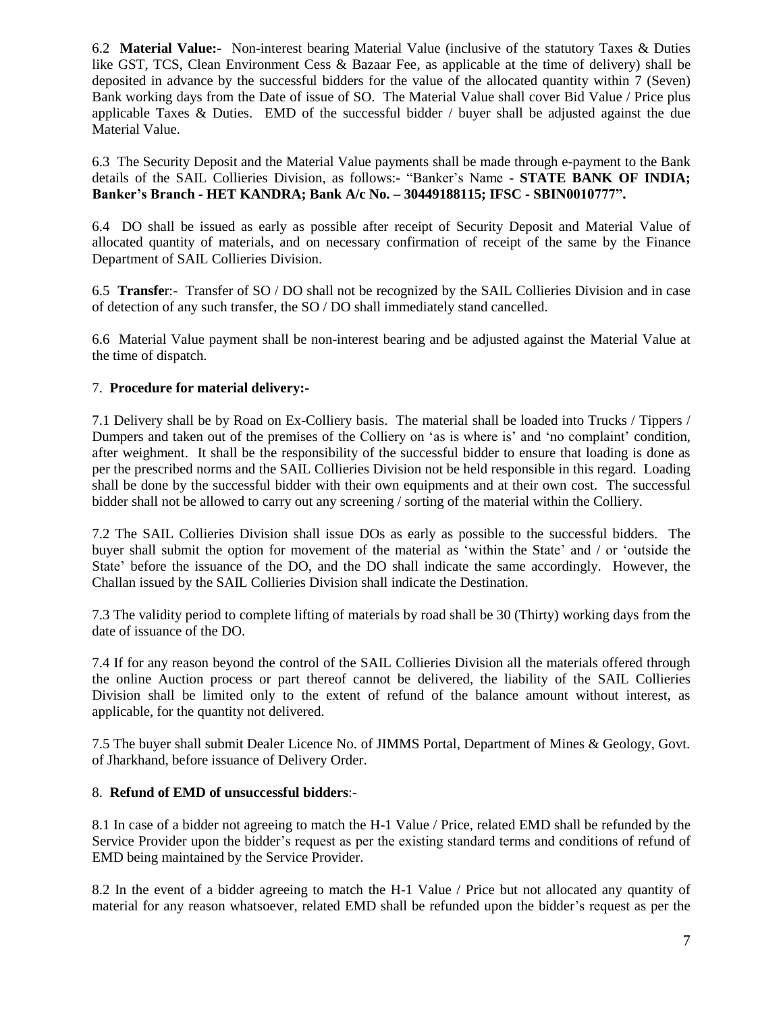6.2 **Material Value:-** Non-interest bearing Material Value (inclusive of the statutory Taxes & Duties like GST, TCS, Clean Environment Cess & Bazaar Fee, as applicable at the time of delivery) shall be deposited in advance by the successful bidders for the value of the allocated quantity within 7 (Seven) Bank working days from the Date of issue of SO. The Material Value shall cover Bid Value / Price plus applicable Taxes  $\&$  Duties. EMD of the successful bidder  $/$  buyer shall be adjusted against the due Material Value.

6.3 The Security Deposit and the Material Value payments shall be made through e-payment to the Bank details of the SAIL Collieries Division, as follows:- "Banker's Name - **STATE BANK OF INDIA; Banker's Branch - HET KANDRA; Bank A/c No. – 30449188115; IFSC - SBIN0010777".**

6.4 DO shall be issued as early as possible after receipt of Security Deposit and Material Value of allocated quantity of materials, and on necessary confirmation of receipt of the same by the Finance Department of SAIL Collieries Division.

6.5 **Transfe**r:- Transfer of SO / DO shall not be recognized by the SAIL Collieries Division and in case of detection of any such transfer, the SO / DO shall immediately stand cancelled.

6.6 Material Value payment shall be non-interest bearing and be adjusted against the Material Value at the time of dispatch.

## 7. **Procedure for material delivery:-**

7.1 Delivery shall be by Road on Ex-Colliery basis. The material shall be loaded into Trucks / Tippers / Dumpers and taken out of the premises of the Colliery on 'as is where is' and 'no complaint' condition, after weighment. It shall be the responsibility of the successful bidder to ensure that loading is done as per the prescribed norms and the SAIL Collieries Division not be held responsible in this regard. Loading shall be done by the successful bidder with their own equipments and at their own cost. The successful bidder shall not be allowed to carry out any screening / sorting of the material within the Colliery.

7.2 The SAIL Collieries Division shall issue DOs as early as possible to the successful bidders. The buyer shall submit the option for movement of the material as 'within the State' and / or 'outside the State' before the issuance of the DO, and the DO shall indicate the same accordingly. However, the Challan issued by the SAIL Collieries Division shall indicate the Destination.

7.3 The validity period to complete lifting of materials by road shall be 30 (Thirty) working days from the date of issuance of the DO.

7.4 If for any reason beyond the control of the SAIL Collieries Division all the materials offered through the online Auction process or part thereof cannot be delivered, the liability of the SAIL Collieries Division shall be limited only to the extent of refund of the balance amount without interest, as applicable, for the quantity not delivered.

7.5 The buyer shall submit Dealer Licence No. of JIMMS Portal, Department of Mines & Geology, Govt. of Jharkhand, before issuance of Delivery Order.

#### 8. **Refund of EMD of unsuccessful bidders**:-

8.1 In case of a bidder not agreeing to match the H-1 Value / Price, related EMD shall be refunded by the Service Provider upon the bidder's request as per the existing standard terms and conditions of refund of EMD being maintained by the Service Provider.

8.2 In the event of a bidder agreeing to match the H-1 Value / Price but not allocated any quantity of material for any reason whatsoever, related EMD shall be refunded upon the bidder's request as per the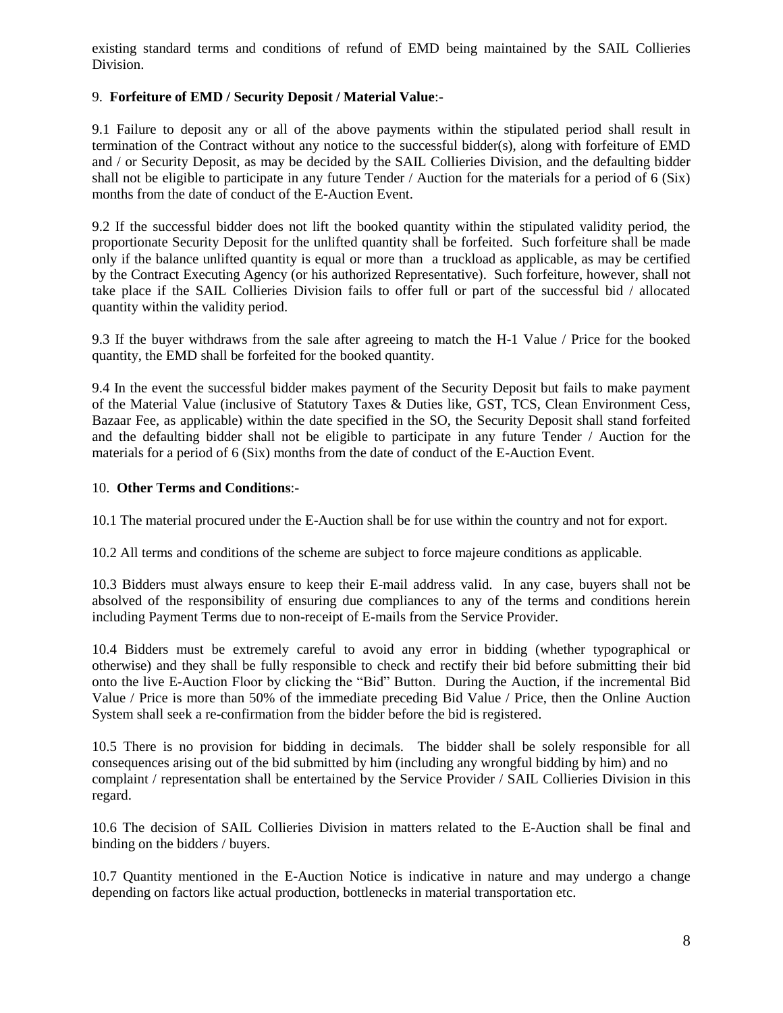existing standard terms and conditions of refund of EMD being maintained by the SAIL Collieries Division.

## 9. **Forfeiture of EMD / Security Deposit / Material Value**:-

9.1 Failure to deposit any or all of the above payments within the stipulated period shall result in termination of the Contract without any notice to the successful bidder(s), along with forfeiture of EMD and / or Security Deposit, as may be decided by the SAIL Collieries Division, and the defaulting bidder shall not be eligible to participate in any future Tender / Auction for the materials for a period of 6 (Six) months from the date of conduct of the E-Auction Event.

9.2 If the successful bidder does not lift the booked quantity within the stipulated validity period, the proportionate Security Deposit for the unlifted quantity shall be forfeited. Such forfeiture shall be made only if the balance unlifted quantity is equal or more than a truckload as applicable, as may be certified by the Contract Executing Agency (or his authorized Representative). Such forfeiture, however, shall not take place if the SAIL Collieries Division fails to offer full or part of the successful bid / allocated quantity within the validity period.

9.3 If the buyer withdraws from the sale after agreeing to match the H-1 Value / Price for the booked quantity, the EMD shall be forfeited for the booked quantity.

9.4 In the event the successful bidder makes payment of the Security Deposit but fails to make payment of the Material Value (inclusive of Statutory Taxes & Duties like, GST, TCS, Clean Environment Cess, Bazaar Fee, as applicable) within the date specified in the SO, the Security Deposit shall stand forfeited and the defaulting bidder shall not be eligible to participate in any future Tender / Auction for the materials for a period of 6 (Six) months from the date of conduct of the E-Auction Event.

## 10. **Other Terms and Conditions**:-

10.1 The material procured under the E-Auction shall be for use within the country and not for export.

10.2 All terms and conditions of the scheme are subject to force majeure conditions as applicable.

10.3 Bidders must always ensure to keep their E-mail address valid. In any case, buyers shall not be absolved of the responsibility of ensuring due compliances to any of the terms and conditions herein including Payment Terms due to non-receipt of E-mails from the Service Provider.

10.4 Bidders must be extremely careful to avoid any error in bidding (whether typographical or otherwise) and they shall be fully responsible to check and rectify their bid before submitting their bid onto the live E-Auction Floor by clicking the "Bid" Button. During the Auction, if the incremental Bid Value / Price is more than 50% of the immediate preceding Bid Value / Price, then the Online Auction System shall seek a re-confirmation from the bidder before the bid is registered.

10.5 There is no provision for bidding in decimals. The bidder shall be solely responsible for all consequences arising out of the bid submitted by him (including any wrongful bidding by him) and no complaint / representation shall be entertained by the Service Provider / SAIL Collieries Division in this regard.

10.6 The decision of SAIL Collieries Division in matters related to the E-Auction shall be final and binding on the bidders / buyers.

10.7 Quantity mentioned in the E-Auction Notice is indicative in nature and may undergo a change depending on factors like actual production, bottlenecks in material transportation etc.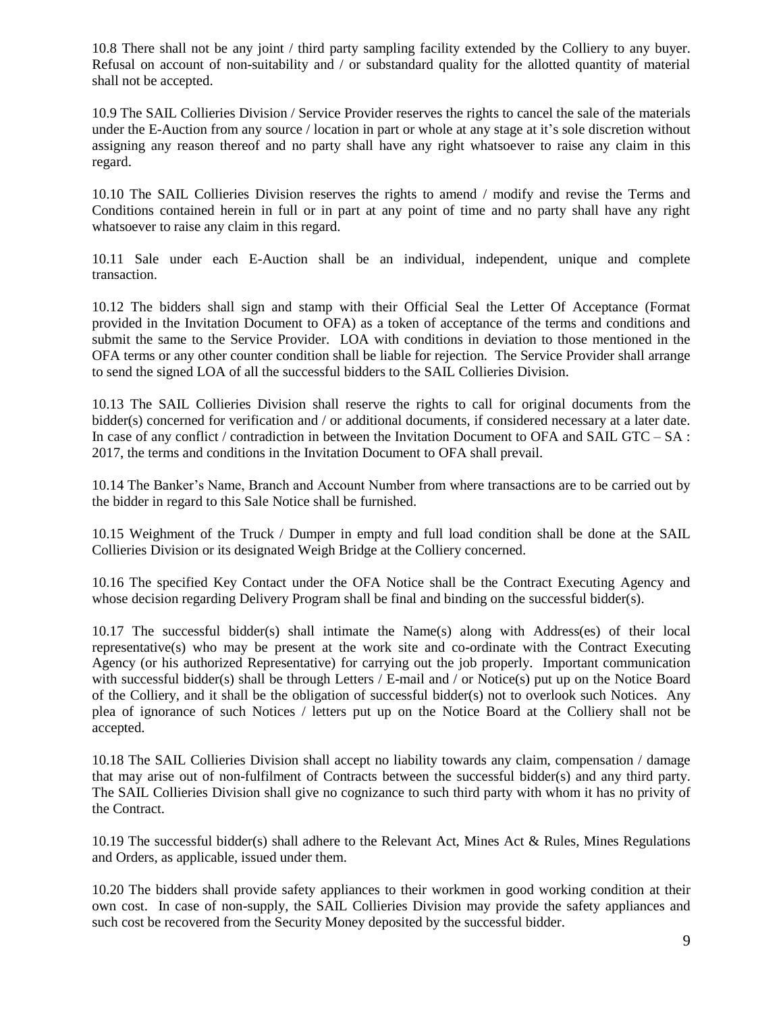10.8 There shall not be any joint / third party sampling facility extended by the Colliery to any buyer. Refusal on account of non-suitability and / or substandard quality for the allotted quantity of material shall not be accepted.

10.9 The SAIL Collieries Division / Service Provider reserves the rights to cancel the sale of the materials under the E-Auction from any source / location in part or whole at any stage at it's sole discretion without assigning any reason thereof and no party shall have any right whatsoever to raise any claim in this regard.

10.10 The SAIL Collieries Division reserves the rights to amend / modify and revise the Terms and Conditions contained herein in full or in part at any point of time and no party shall have any right whatsoever to raise any claim in this regard.

10.11 Sale under each E-Auction shall be an individual, independent, unique and complete transaction.

10.12 The bidders shall sign and stamp with their Official Seal the Letter Of Acceptance (Format provided in the Invitation Document to OFA) as a token of acceptance of the terms and conditions and submit the same to the Service Provider. LOA with conditions in deviation to those mentioned in the OFA terms or any other counter condition shall be liable for rejection. The Service Provider shall arrange to send the signed LOA of all the successful bidders to the SAIL Collieries Division.

10.13 The SAIL Collieries Division shall reserve the rights to call for original documents from the bidder(s) concerned for verification and / or additional documents, if considered necessary at a later date. In case of any conflict / contradiction in between the Invitation Document to OFA and SAIL GTC – SA : 2017, the terms and conditions in the Invitation Document to OFA shall prevail.

10.14 The Banker's Name, Branch and Account Number from where transactions are to be carried out by the bidder in regard to this Sale Notice shall be furnished.

10.15 Weighment of the Truck / Dumper in empty and full load condition shall be done at the SAIL Collieries Division or its designated Weigh Bridge at the Colliery concerned.

10.16 The specified Key Contact under the OFA Notice shall be the Contract Executing Agency and whose decision regarding Delivery Program shall be final and binding on the successful bidder(s).

10.17 The successful bidder(s) shall intimate the Name(s) along with Address(es) of their local representative(s) who may be present at the work site and co-ordinate with the Contract Executing Agency (or his authorized Representative) for carrying out the job properly. Important communication with successful bidder(s) shall be through Letters / E-mail and / or Notice(s) put up on the Notice Board of the Colliery, and it shall be the obligation of successful bidder(s) not to overlook such Notices. Any plea of ignorance of such Notices / letters put up on the Notice Board at the Colliery shall not be accepted.

10.18 The SAIL Collieries Division shall accept no liability towards any claim, compensation / damage that may arise out of non-fulfilment of Contracts between the successful bidder(s) and any third party. The SAIL Collieries Division shall give no cognizance to such third party with whom it has no privity of the Contract.

10.19 The successful bidder(s) shall adhere to the Relevant Act, Mines Act & Rules, Mines Regulations and Orders, as applicable, issued under them.

10.20 The bidders shall provide safety appliances to their workmen in good working condition at their own cost. In case of non-supply, the SAIL Collieries Division may provide the safety appliances and such cost be recovered from the Security Money deposited by the successful bidder.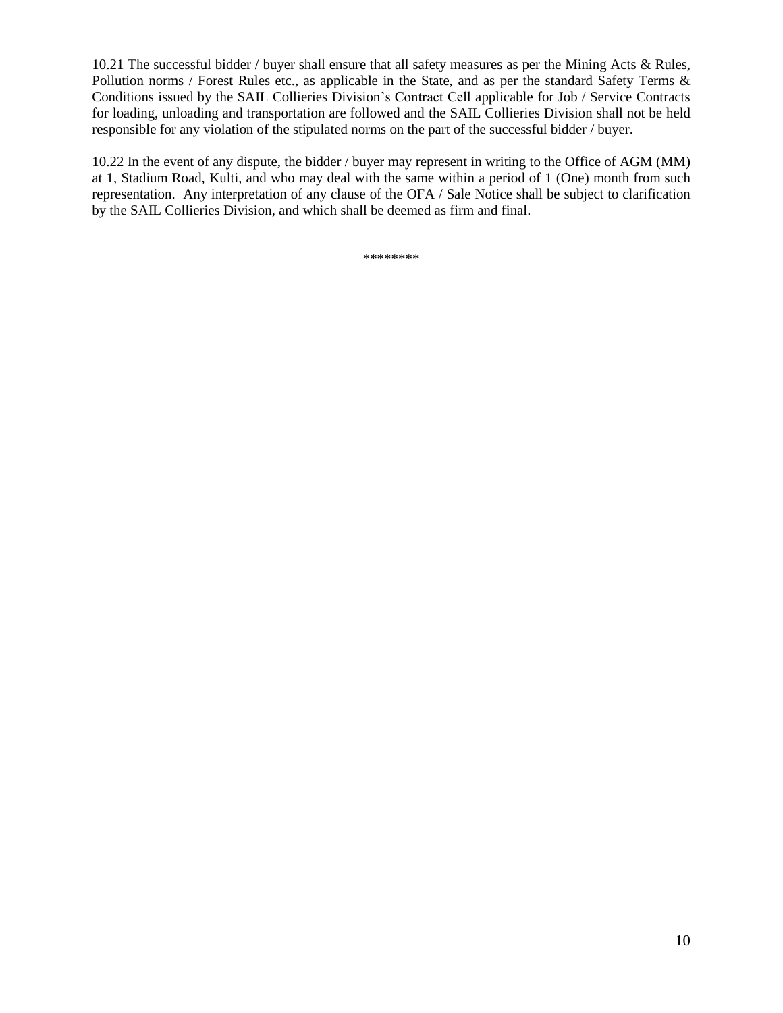10.21 The successful bidder / buyer shall ensure that all safety measures as per the Mining Acts & Rules, Pollution norms / Forest Rules etc., as applicable in the State, and as per the standard Safety Terms & Conditions issued by the SAIL Collieries Division's Contract Cell applicable for Job / Service Contracts for loading, unloading and transportation are followed and the SAIL Collieries Division shall not be held responsible for any violation of the stipulated norms on the part of the successful bidder / buyer.

10.22 In the event of any dispute, the bidder / buyer may represent in writing to the Office of AGM (MM) at 1, Stadium Road, Kulti, and who may deal with the same within a period of 1 (One) month from such representation. Any interpretation of any clause of the OFA / Sale Notice shall be subject to clarification by the SAIL Collieries Division, and which shall be deemed as firm and final.

\*\*\*\*\*\*\*\*